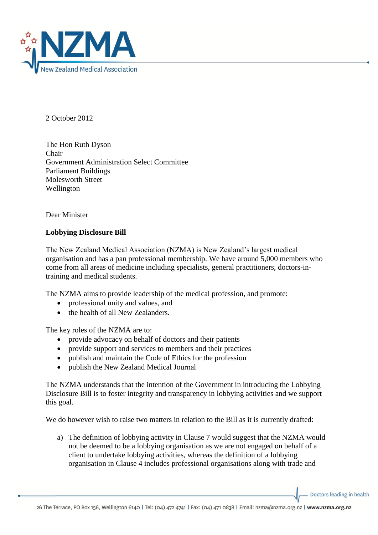

2 October 2012

The Hon Ruth Dyson Chair Government Administration Select Committee Parliament Buildings Molesworth Street Wellington

Dear Minister

## **Lobbying Disclosure Bill**

The New Zealand Medical Association (NZMA) is New Zealand's largest medical organisation and has a pan professional membership. We have around 5,000 members who come from all areas of medicine including specialists, general practitioners, doctors-intraining and medical students.

The NZMA aims to provide leadership of the medical profession, and promote:

- professional unity and values, and
- the health of all New Zealanders.

The key roles of the NZMA are to:

- provide advocacy on behalf of doctors and their patients
- provide support and services to members and their practices
- publish and maintain the Code of Ethics for the profession
- publish the New Zealand Medical Journal

The NZMA understands that the intention of the Government in introducing the Lobbying Disclosure Bill is to foster integrity and transparency in lobbying activities and we support this goal.

We do however wish to raise two matters in relation to the Bill as it is currently drafted:

a) The definition of lobbying activity in Clause 7 would suggest that the NZMA would not be deemed to be a lobbying organisation as we are not engaged on behalf of a client to undertake lobbying activities, whereas the definition of a lobbying organisation in Clause 4 includes professional organisations along with trade and

Doctors leading in health